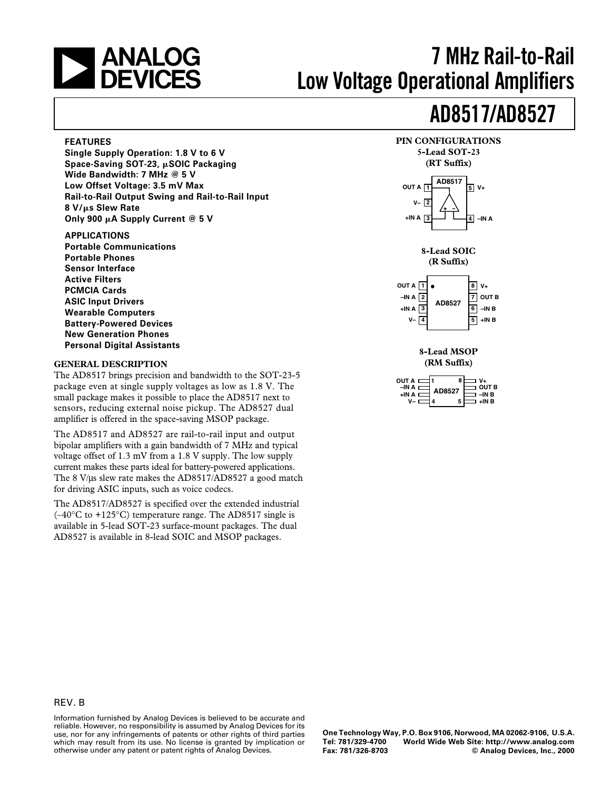

# **7 MHz Rail-to-Rail Low Voltage Operational Amplifiers**

# **AD8517/AD8527**

#### **FEATURES**

**Single Supply Operation: 1.8 V to 6 V Space-Saving SOT-23, SOIC Packaging Wide Bandwidth: 7 MHz @ 5 V Low Offset Voltage: 3.5 mV Max Rail-to-Rail Output Swing and Rail-to-Rail Input 8 V/s Slew Rate Only 900 A Supply Current @ 5 V**

#### **APPLICATIONS**

**Portable Communications Portable Phones Sensor Interface Active Filters PCMCIA Cards ASIC Input Drivers Wearable Computers Battery-Powered Devices New Generation Phones Personal Digital Assistants**

#### **GENERAL DESCRIPTION**

The AD8517 brings precision and bandwidth to the SOT-23-5 package even at single supply voltages as low as 1.8 V. The small package makes it possible to place the AD8517 next to sensors, reducing external noise pickup. The AD8527 dual amplifier is offered in the space-saving MSOP package.

The AD8517 and AD8527 are rail-to-rail input and output bipolar amplifiers with a gain bandwidth of 7 MHz and typical voltage offset of 1.3 mV from a 1.8 V supply. The low supply current makes these parts ideal for battery-powered applications. The 8 V/µs slew rate makes the AD8517/AD8527 a good match for driving ASIC inputs, such as voice codecs.

The AD8517/AD8527 is specified over the extended industrial  $(-40^{\circ}$ C to  $+125^{\circ}$ C) temperature range. The AD8517 single is available in 5-lead SOT-23 surface-mount packages. The dual AD8527 is available in 8-lead SOIC and MSOP packages.



#### **8-Lead MSOP (RM Suffix)**

| OUT A<br>$-INA$<br>+IN A | <b>AD8527</b><br>5 | $V +$<br><b>OUT B</b><br>–IN R<br>+IN B |
|--------------------------|--------------------|-----------------------------------------|
|--------------------------|--------------------|-----------------------------------------|

#### REV. B

Information furnished by Analog Devices is believed to be accurate and reliable. However, no responsibility is assumed by Analog Devices for its use, nor for any infringements of patents or other rights of third parties which may result from its use. No license is granted by implication or otherwise under any patent or patent rights of Analog Devices.

**One Technology Way, P.O. Box 9106, Norwood, MA 02062-9106, U.S.A. Tel: 781/329-4700 World Wide Web Site: http://www.analog.com**  $©$  Analog Devices, Inc., 2000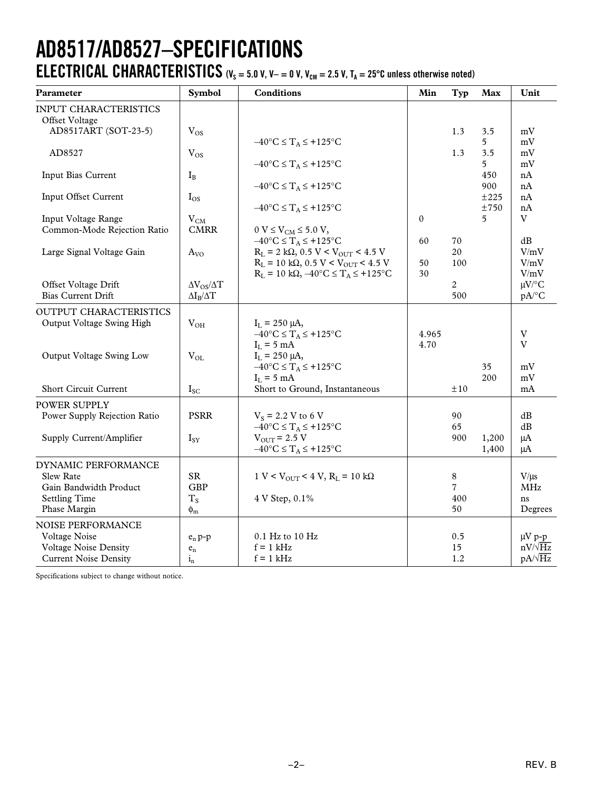## **AD8517/AD8527–SPECIFICATIONS ELECTRICAL CHARACTERISTICS** ( $V_s = 5.0$  V,  $V - = 0$  V,  $V_{cm} = 2.5$  V,  $T_A = 25$ °C unless otherwise noted)

| Parameter                                                  | Symbol                   | <b>Conditions</b>                                                                                             | Min           | Typ            | Max            | Unit                             |
|------------------------------------------------------------|--------------------------|---------------------------------------------------------------------------------------------------------------|---------------|----------------|----------------|----------------------------------|
| INPUT CHARACTERISTICS<br>Offset Voltage                    |                          |                                                                                                               |               |                |                |                                  |
| AD8517ART (SOT-23-5)                                       | $V_{OS}$                 |                                                                                                               |               | 1.3            | 3.5            | mV                               |
| AD8527                                                     | $V_{OS}$                 | $-40^{\circ}C \leq T_A \leq +125^{\circ}C$                                                                    |               | 1.3            | 5.<br>3.5      | mV<br>mV                         |
| Input Bias Current                                         | $I_{B}$                  | $-40^{\circ}C \leq T_A \leq +125^{\circ}C$                                                                    |               |                | 5<br>450       | mV<br>nA                         |
|                                                            |                          | $-40^{\circ}$ C $\leq$ T <sub>A</sub> $\leq$ +125°C                                                           |               |                | 900            | nA                               |
| Input Offset Current                                       | $I_{OS}$                 | $-40^{\circ}C \leq T_A \leq +125^{\circ}C$                                                                    |               |                | ±225<br>±750   | nA<br>nA                         |
| Input Voltage Range<br>Common-Mode Rejection Ratio         | $V_{CM}$<br><b>CMRR</b>  | $0 V \le V_{CM} \le 5.0 V,$                                                                                   | $\mathbf{0}$  |                | 5              | V                                |
|                                                            |                          | $-40^{\circ}$ C $\leq$ T <sub>A</sub> $\leq$ +125°C                                                           | 60            | 70             |                | dB                               |
| Large Signal Voltage Gain                                  | $A_{VO}$                 | $R_L = 2 k\Omega$ , 0.5 V < V <sub>OUT</sub> < 4.5 V<br>$R_L = 10 k\Omega$ , 0.5 V < V <sub>OUT</sub> < 4.5 V | 50            | 20<br>100      |                | V/mV<br>V/mV                     |
| Offset Voltage Drift                                       | $\Delta V_{OS}/\Delta T$ | $R_L = 10 k\Omega$ , $-40^{\circ}C \le T_A \le +125^{\circ}C$                                                 | 30            | $\overline{2}$ |                | V/mV<br>$\mu V$ /°C              |
| <b>Bias Current Drift</b>                                  | $\Delta I_{B}/\Delta T$  |                                                                                                               |               | 500            |                | $pA$ <sup>o</sup> C              |
| <b>OUTPUT CHARACTERISTICS</b><br>Output Voltage Swing High | $V_{OH}$                 | $I_L = 250 \mu A$ ,                                                                                           |               |                |                |                                  |
|                                                            |                          | $-40^{\circ}C \leq T_A \leq +125^{\circ}C$<br>$I_L = 5$ mA                                                    | 4.965<br>4.70 |                |                | $\overline{V}$<br>$\overline{V}$ |
| Output Voltage Swing Low                                   | $V_{OL}$                 | $I_L = 250 \mu A$<br>$-40^{\circ}C \leq T_A \leq +125^{\circ}C$                                               |               |                | 35             | mV                               |
| Short Circuit Current                                      | $I_{SC}$                 | $I_L = 5$ mA<br>Short to Ground, Instantaneous                                                                |               | ±10            | 200            | mV<br>mA                         |
| POWER SUPPLY                                               |                          |                                                                                                               |               |                |                |                                  |
| Power Supply Rejection Ratio                               | <b>PSRR</b>              | $V_s = 2.2 V to 6 V$<br>$-40^{\circ}$ C $\leq$ T <sub>A</sub> $\leq$ +125°C                                   |               | 90<br>65       |                | dB<br>dB                         |
| Supply Current/Amplifier                                   | $I_{SY}$                 | $V_{\text{OUT}}$ = 2.5 V<br>$-40^{\circ}$ C $\leq$ $T_A \leq +125^{\circ}$ C                                  |               | 900            | 1,200<br>1,400 | $\mu A$<br>μA                    |
| DYNAMIC PERFORMANCE                                        |                          |                                                                                                               |               |                |                |                                  |
| <b>Slew Rate</b><br>Gain Bandwidth Product                 | <b>SR</b><br>GBP         | $1 \text{ V} < V_{\text{OUT}} < 4 \text{ V}, R_{\text{L}} = 10 \text{ k}\Omega$                               |               | 8<br>7         |                | $V/\mu s$<br><b>MHz</b>          |
| <b>Settling Time</b>                                       | $T_S$                    | 4 V Step, 0.1%                                                                                                |               | 400            |                | ns                               |
| Phase Margin                                               | $\phi_{m}$               |                                                                                                               |               | 50             |                | Degrees                          |
| NOISE PERFORMANCE<br>Voltage Noise                         |                          | 0.1 Hz to 10 Hz                                                                                               |               | 0.5            |                |                                  |
| Voltage Noise Density                                      | $e_n p-p$<br>$e_{n}$     | $f = 1$ kHz                                                                                                   |               | 15             |                | $\mu V$ p-p<br>$nV/\sqrt{Hz}$    |
| <b>Current Noise Density</b>                               | $1_{n}$                  | $f = 1$ kHz                                                                                                   |               | 1.2            |                | $pA/\sqrt{Hz}$                   |

Specifications subject to change without notice.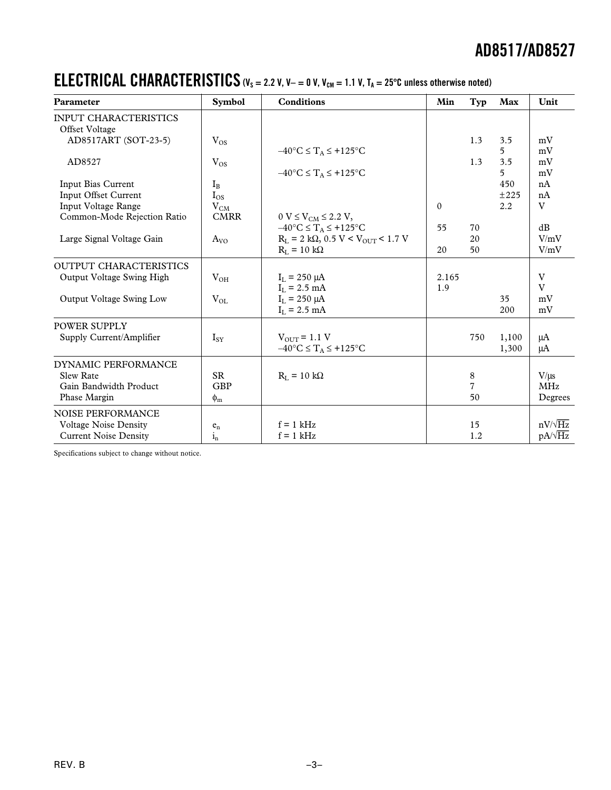### **ELECTRICAL CHARACTERISTICS** ( $V_s = 2.2$  V,  $V = 0$  V,  $V_{cm} = 1.1$  V,  $T_A = 25^{\circ}$ C unless otherwise noted)

| Parameter                     | <b>Symbol</b>           | <b>Conditions</b>                                    | Min      | Typ            | Max         | Unit           |
|-------------------------------|-------------------------|------------------------------------------------------|----------|----------------|-------------|----------------|
| <b>INPUT CHARACTERISTICS</b>  |                         |                                                      |          |                |             |                |
| Offset Voltage                |                         |                                                      |          |                |             |                |
| AD8517ART (SOT-23-5)          | $V_{OS}$                |                                                      |          | 1.3            | 3.5         | mV             |
|                               |                         | $-40^{\circ}C \leq T_A \leq +125^{\circ}C$           |          |                | $5^{\circ}$ | mV             |
| AD8527                        | $V_{OS}$                |                                                      |          | 1.3            | 3.5         | mV             |
|                               |                         | $-40^{\circ}$ C $\leq$ $T_A \leq +125^{\circ}$ C     |          |                | 5           | mV             |
| Input Bias Current            | $I_{B}$                 |                                                      |          |                | 450         | nA             |
| <b>Input Offset Current</b>   | $I_{OS}$                |                                                      |          |                | ±225        | nA             |
| Input Voltage Range           | $V_{CM}$                |                                                      | $\Omega$ |                | 2.2         | V              |
| Common-Mode Rejection Ratio   | <b>CMRR</b>             | $0 V \le V_{CM} \le 2.2 V$ ,                         |          |                |             |                |
|                               |                         | $-40^{\circ}C \leq T_A \leq +125^{\circ}C$           | 55       | 70             |             | dB             |
| Large Signal Voltage Gain     | $A_{VO}$                | $R_L = 2 k\Omega$ , 0.5 V < V <sub>OUT</sub> < 1.7 V |          | 20             |             | V/mV           |
|                               |                         | $R_I = 10 k\Omega$                                   | 20       | 50             |             | V/mV           |
| <b>OUTPUT CHARACTERISTICS</b> |                         |                                                      |          |                |             |                |
| Output Voltage Swing High     | $V_{OH}$                | $I_{L} = 250 \mu A$                                  | 2.165    |                |             | V              |
|                               |                         | $I_L = 2.5$ mA                                       | 1.9      |                |             | V              |
| Output Voltage Swing Low      | $V_{OL}$                | $I_L = 250 \mu A$                                    |          |                | 35          | mV             |
|                               |                         | $I_L = 2.5$ mA                                       |          |                | 200         | mV             |
| POWER SUPPLY                  |                         |                                                      |          |                |             |                |
| Supply Current/Amplifier      | $I_{SY}$                | $V_{\text{OUT}} = 1.1 V$                             |          | 750            | 1,100       | μA             |
|                               |                         | $-40^{\circ}$ C $\leq$ $T_A \leq +125^{\circ}$ C     |          |                | 1,300       | μA             |
| DYNAMIC PERFORMANCE           |                         |                                                      |          |                |             |                |
| <b>Slew Rate</b>              | <b>SR</b>               | $R_{I} = 10 k\Omega$                                 |          | 8              |             | V/us           |
| Gain Bandwidth Product        | <b>GBP</b>              |                                                      |          | $\overline{7}$ |             | <b>MHz</b>     |
| Phase Margin                  | $\phi_{\rm m}$          |                                                      |          | 50             |             | Degrees        |
|                               |                         |                                                      |          |                |             |                |
| <b>NOISE PERFORMANCE</b>      |                         |                                                      |          |                |             |                |
| <b>Voltage Noise Density</b>  | $e_n$                   | $f = 1$ kHz                                          |          | 15             |             | $nV/\sqrt{Hz}$ |
| <b>Current Noise Density</b>  | $\mathbf{i}_\mathrm{n}$ | $f = 1$ kHz                                          |          | 1.2            |             | $pA/\sqrt{Hz}$ |

Specifications subject to change without notice.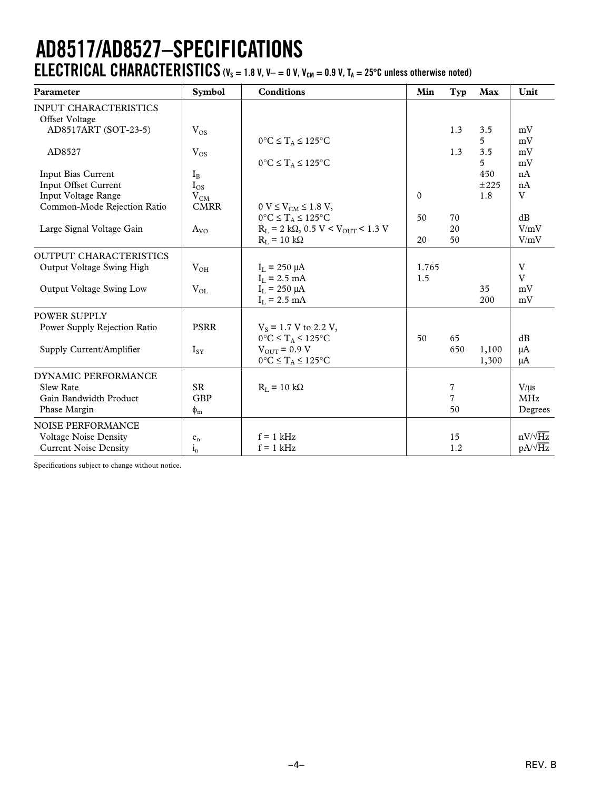## **AD8517/AD8527–SPECIFICATIONS ELECTRICAL CHARACTERISTICS** ( $V_s = 1.8$  V,  $V - = 0$  V,  $V_{cm} = 0.9$  V,  $T_A = 25^{\circ}$ C unless otherwise noted)

| <b>INPUT CHARACTERISTICS</b>                                                                 |                |
|----------------------------------------------------------------------------------------------|----------------|
| Offset Voltage                                                                               |                |
| AD8517ART (SOT-23-5)<br>1.3<br>$V_{OS}$<br>3.5                                               | mV             |
| $0^{\circ}C \leq T_A \leq 125^{\circ}C$<br>5                                                 | mV             |
| 3.5<br>AD8527<br>$\rm V_{OS}$<br>1.3                                                         | mV             |
| $0^{\circ}C \leq T_A \leq 125^{\circ}C$<br>5                                                 | mV             |
| Input Bias Current<br>450<br>$I_{B}$                                                         | nA             |
| Input Offset Current<br>$I_{OS}$<br>±225                                                     | nA             |
| Input Voltage Range<br>$\mathbf{0}$<br>1.8<br>$V_{CM}$                                       | $\rm V$        |
| <b>CMRR</b><br>Common-Mode Rejection Ratio<br>$0 V \le V_{CM} \le 1.8 V$ ,                   |                |
| $0^{\circ}C \leq T_A \leq 125^{\circ}C$<br>50<br>70                                          | dB             |
| $R_L = 2 k\Omega$ , 0.5 V < $V_{OUT}$ < 1.3 V<br>Large Signal Voltage Gain<br>20<br>$A_{VQ}$ | V/mV           |
| $R_L = 10 k\Omega$<br>50<br>20                                                               | V/mV           |
| <b>OUTPUT CHARACTERISTICS</b>                                                                |                |
| Output Voltage Swing High<br>$V_{OH}$<br>1.765<br>$I_L = 250 \mu A$                          | V              |
| 1.5<br>$I_L = 2.5$ mA                                                                        | V              |
| Output Voltage Swing Low<br>$I_{L} = 250 \mu A$<br>$V_{OL}$<br>35                            | mV             |
| $I_L = 2.5$ mA<br>200                                                                        | mV             |
| POWER SUPPLY                                                                                 |                |
| <b>PSRR</b><br>Power Supply Rejection Ratio<br>$V_s = 1.7 V$ to 2.2 V,                       |                |
| $0^{\circ}C \leq T_A \leq 125^{\circ}C$<br>50<br>65                                          | dB             |
| Supply Current/Amplifier<br>$V_{\text{OUT}}$ = 0.9 V<br>650<br>1,100<br>$I_{SY}$             | $\mu A$        |
| $0^{\circ}\textrm{C} \leq T_A \leq 125^{\circ}\textrm{C}$<br>1,300                           | μA             |
| DYNAMIC PERFORMANCE                                                                          |                |
| SR.<br>$R_I = 10 k\Omega$<br>7<br><b>Slew Rate</b>                                           | $V/\mu s$      |
| <b>GBP</b><br>7<br>Gain Bandwidth Product                                                    | <b>MHz</b>     |
| Phase Margin<br>50<br>$\phi_{\rm m}$                                                         | Degrees        |
| NOISE PERFORMANCE                                                                            |                |
| <b>Voltage Noise Density</b><br>$f = 1$ kHz<br>15<br>$e_{n}$                                 | $nV/\sqrt{Hz}$ |
| 1.2<br>$f = 1$ kHz<br><b>Current Noise Density</b><br>$i_{n}$                                | $pA/\sqrt{Hz}$ |

Specifications subject to change without notice.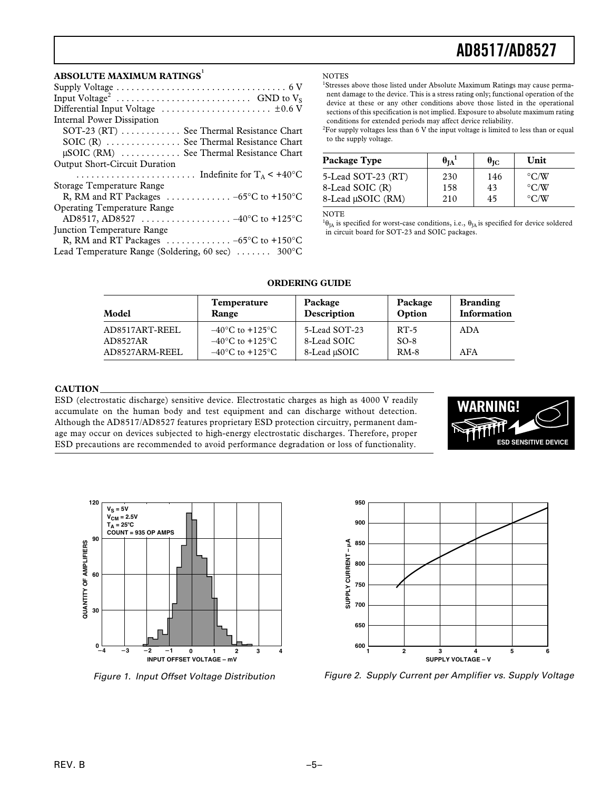#### **ABSOLUTE MAXIMUM RATINGS<sup>1</sup>**

| Differential Input Voltage $\dots\dots\dots\dots\dots\dots\dots\dots\dots\dots\dots\dots\dots$ |
|------------------------------------------------------------------------------------------------|
| Internal Power Dissipation                                                                     |
| SOT-23 (RT)  See Thermal Resistance Chart                                                      |
| SOIC (R)  See Thermal Resistance Chart                                                         |
| $\mu$ SOIC (RM)  See Thermal Resistance Chart                                                  |
| <b>Output Short-Circuit Duration</b>                                                           |
|                                                                                                |
|                                                                                                |
| Storage Temperature Range                                                                      |
| R, RM and RT Packages $\ldots \ldots \ldots \ldots -65$ °C to +150°C                           |
| <b>Operating Temperature Range</b>                                                             |
| AD8517, AD8527  -40°C to +125°C                                                                |
| <b>Iunction Temperature Range</b>                                                              |
| R, RM and RT Packages $\ldots \ldots \ldots \ldots -65$ °C to +150°C                           |

**NOTES** 

<sup>1</sup>Stresses above those listed under Absolute Maximum Ratings may cause permanent damage to the device. This is a stress rating only; functional operation of the device at these or any other conditions above those listed in the operational sections of this specification is not implied. Exposure to absolute maximum rating conditions for extended periods may affect device reliability.

 ${}^{2}$ For supply voltages less than 6 V the input voltage is limited to less than or equal to the supply voltage.

| Package Type       | $\theta_{IA}$ <sup>1</sup> | $\theta_{\rm IC}$ | Unit               |
|--------------------|----------------------------|-------------------|--------------------|
| 5-Lead SOT-23 (RT) | 230                        | 146               | $\rm ^{\circ}$ C/W |
| 8-Lead SOIC (R)    | 158                        | 43                | $\rm ^{\circ}$ C/W |
| 8-Lead µSOIC (RM)  | 210                        | 45                | $\rm ^{\circ}$ C/W |

NOTE

 ${}^{1}\theta_{JA}$  is specified for worst-case conditions, i.e.,  $\theta_{JA}$  is specified for device soldered in circuit board for SOT-23 and SOIC packages.

| Model                                        | <b>Temperature</b>                                                                                                | Package                                      | Package                    | <b>Branding</b> |
|----------------------------------------------|-------------------------------------------------------------------------------------------------------------------|----------------------------------------------|----------------------------|-----------------|
|                                              | Range                                                                                                             | Description                                  | Option                     | Information     |
| AD8517ART-REEL<br>AD8527AR<br>AD8527ARM-REEL | $-40^{\circ}$ C to $+125^{\circ}$ C<br>$-40^{\circ}$ C to $+125^{\circ}$ C<br>$-40^{\circ}$ C to $+125^{\circ}$ C | 5-Lead SOT-23<br>8-Lead SOIC<br>8-Lead µSOIC | $RT-5$<br>$SO-8$<br>$RM-8$ | ADA<br>AFA      |

#### **ORDERING GUIDE**

#### **CAUTION**

ESD (electrostatic discharge) sensitive device. Electrostatic charges as high as 4000 V readily accumulate on the human body and test equipment and can discharge without detection. Although the AD8517/AD8527 features proprietary ESD protection circuitry, permanent damage may occur on devices subjected to high-energy electrostatic discharges. Therefore, proper ESD precautions are recommended to avoid performance degradation or loss of functionality.





Figure 1. Input Offset Voltage Distribution



Figure 2. Supply Current per Amplifier vs. Supply Voltage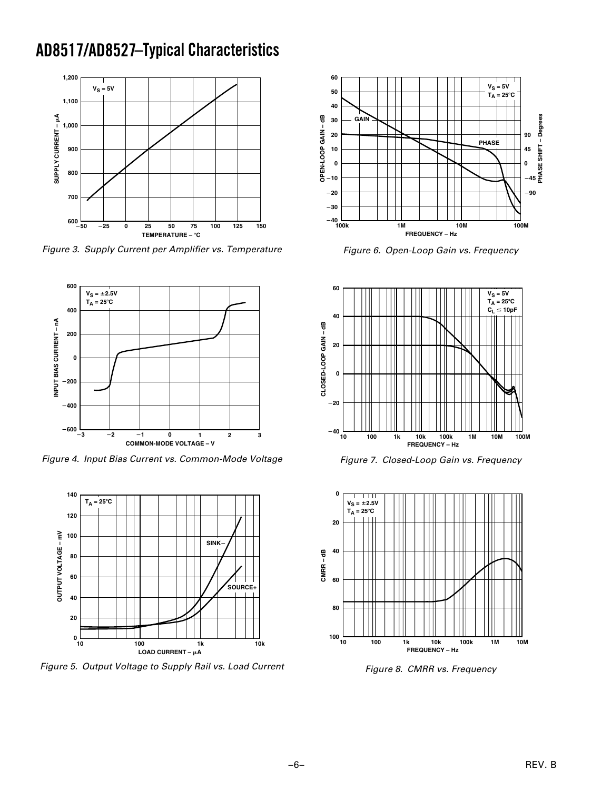### **AD8517/AD8527 –Typical Characteristics**



Figure 3. Supply Current per Amplifier vs. Temperature



Figure 4. Input Bias Current vs. Common-Mode Voltage



Figure 5. Output Voltage to Supply Rail vs. Load Current



Figure 6. Open-Loop Gain vs. Frequency







Figure 8. CMRR vs. Frequency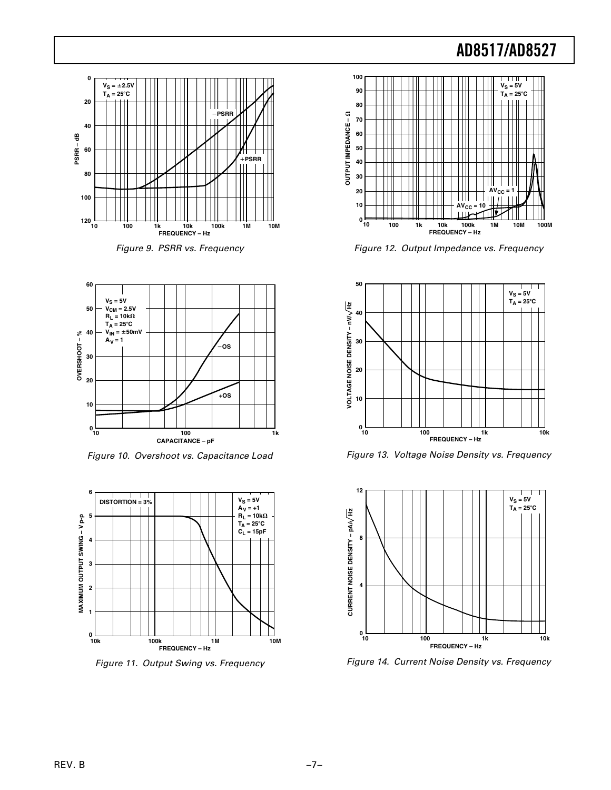





Figure 10. Overshoot vs. Capacitance Load



Figure 11. Output Swing vs. Frequency



Figure 12. Output Impedance vs. Frequency



Figure 13. Voltage Noise Density vs. Frequency



Figure 14. Current Noise Density vs. Frequency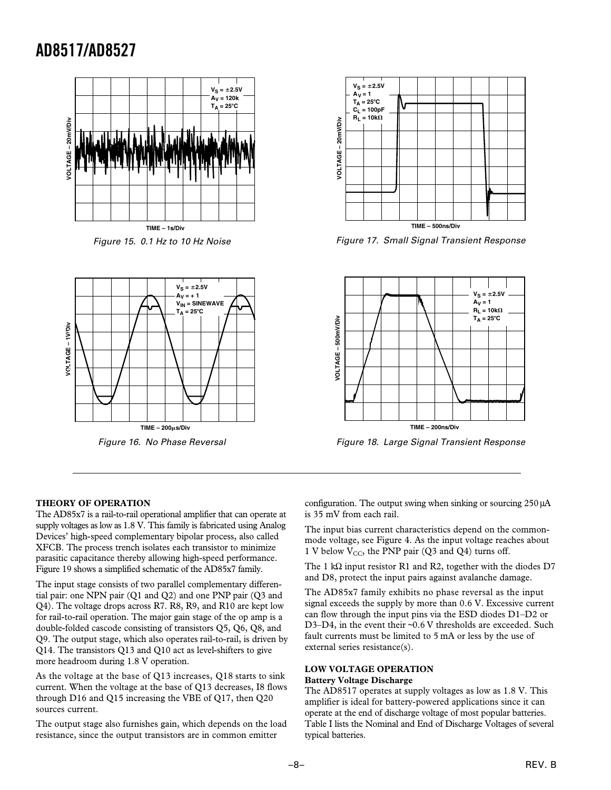

Figure 15. 0.1 Hz to 10 Hz Noise



Figure 16. No Phase Reversal



Figure 17. Small Signal Transient Response



Figure 18. Large Signal Transient Response

#### **THEORY OF OPERATION**

The AD85x7 is a rail-to-rail operational amplifier that can operate at supply voltages as low as 1.8 V. This family is fabricated using Analog Devices' high-speed complementary bipolar process, also called XFCB. The process trench isolates each transistor to minimize parasitic capacitance thereby allowing high-speed performance. Figure 19 shows a simplified schematic of the AD85x7 family.

The input stage consists of two parallel complementary differential pair: one NPN pair (Q1 and Q2) and one PNP pair (Q3 and Q4). The voltage drops across R7. R8, R9, and R10 are kept low for rail-to-rail operation. The major gain stage of the op amp is a double-folded cascode consisting of transistors Q5, Q6, Q8, and Q9. The output stage, which also operates rail-to-rail, is driven by Q14. The transistors Q13 and Q10 act as level-shifters to give more headroom during 1.8 V operation.

As the voltage at the base of Q13 increases, Q18 starts to sink current. When the voltage at the base of Q13 decreases, I8 flows through D16 and Q15 increasing the VBE of Q17, then Q20 sources current.

The output stage also furnishes gain, which depends on the load resistance, since the output transistors are in common emitter

configuration. The output swing when sinking or sourcing 250 µA is 35 mV from each rail.

The input bias current characteristics depend on the commonmode voltage, see Figure 4. As the input voltage reaches about 1 V below  $V_{CC}$ , the PNP pair (Q3 and Q4) turns off.

The 1 kΩ input resistor R1 and R2, together with the diodes D7 and D8, protect the input pairs against avalanche damage.

The AD85x7 family exhibits no phase reversal as the input signal exceeds the supply by more than 0.6 V. Excessive current can flow through the input pins via the ESD diodes D1–D2 or D3-D4, in the event their ~0.6 V thresholds are exceeded. Such fault currents must be limited to 5 mA or less by the use of external series resistance(s).

#### **LOW VOLTAGE OPERATION**

#### **Battery Voltage Discharge**

The AD8517 operates at supply voltages as low as 1.8 V. This amplifier is ideal for battery-powered applications since it can operate at the end of discharge voltage of most popular batteries. Table I lists the Nominal and End of Discharge Voltages of several typical batteries.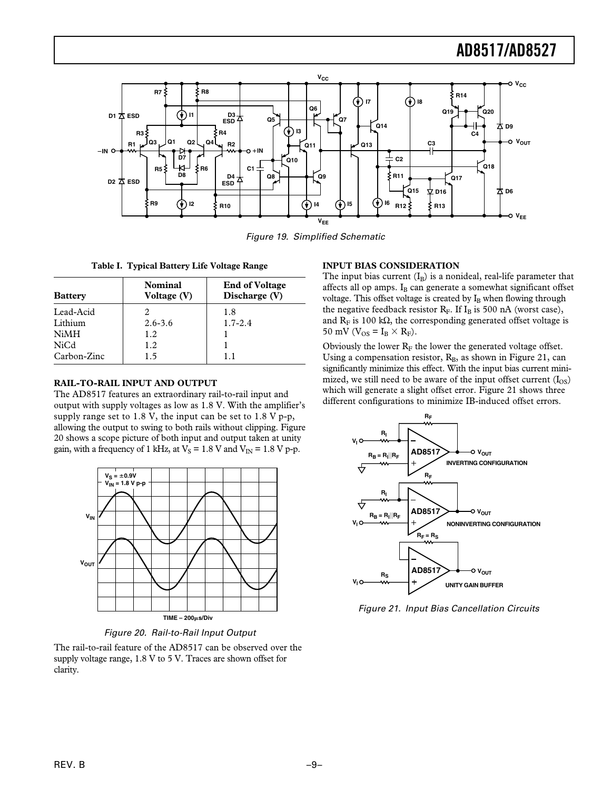

Figure 19. Simplified Schematic

**Table I. Typical Battery Life Voltage Range**

| <b>Battery</b> | <b>Nominal</b><br>Voltage (V) | <b>End of Voltage</b><br>Discharge (V) |
|----------------|-------------------------------|----------------------------------------|
| Lead-Acid      | 2                             | 1.8                                    |
| Lithium        | $2.6 - 3.6$                   | $1.7 - 2.4$                            |
| NiMH           | 1.2                           |                                        |
| NiCd           | 1.2                           |                                        |
| Carbon-Zinc    | 1.5                           | 11                                     |

#### **RAIL-TO-RAIL INPUT AND OUTPUT**

The AD8517 features an extraordinary rail-to-rail input and output with supply voltages as low as 1.8 V. With the amplifier's supply range set to 1.8 V, the input can be set to 1.8 V p-p, allowing the output to swing to both rails without clipping. Figure 20 shows a scope picture of both input and output taken at unity gain, with a frequency of 1 kHz, at  $V_s = 1.8$  V and  $V_{IN} = 1.8$  V p-p.



Figure 20. Rail-to-Rail Input Output

The rail-to-rail feature of the AD8517 can be observed over the supply voltage range, 1.8 V to 5 V. Traces are shown offset for clarity.

#### **INPUT BIAS CONSIDERATION**

The input bias current  $(I_B)$  is a nonideal, real-life parameter that affects all op amps. I<sub>B</sub> can generate a somewhat significant offset voltage. This offset voltage is created by  $I_B$  when flowing through the negative feedback resistor  $R_F$ . If  $I_B$  is 500 nA (worst case), and  $R_F$  is 100 k $\Omega$ , the corresponding generated offset voltage is 50 mV ( $V_{OS} = I_B \times R_F$ ).

Obviously the lower  $R_F$  the lower the generated voltage offset. Using a compensation resistor,  $R_B$ , as shown in Figure 21, can significantly minimize this effect. With the input bias current minimized, we still need to be aware of the input offset current  $(I<sub>OS</sub>)$ which will generate a slight offset error. Figure 21 shows three different configurations to minimize IB-induced offset errors.



Figure 21. Input Bias Cancellation Circuits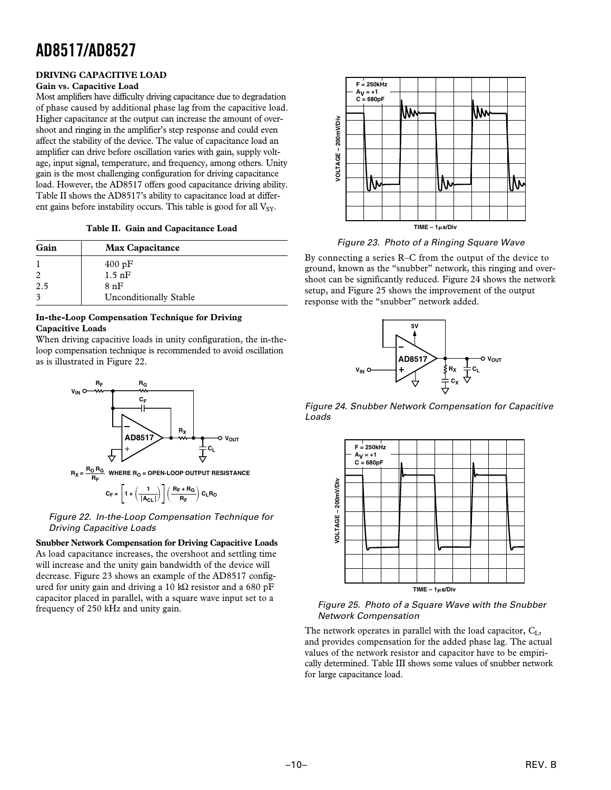#### **DRIVING CAPACITIVE LOAD**

#### **Gain vs. Capacitive Load**

Most amplifiers have difficulty driving capacitance due to degradation of phase caused by additional phase lag from the capacitive load. Higher capacitance at the output can increase the amount of overshoot and ringing in the amplifier's step response and could even affect the stability of the device. The value of capacitance load an amplifier can drive before oscillation varies with gain, supply voltage, input signal, temperature, and frequency, among others. Unity gain is the most challenging configuration for driving capacitance load. However, the AD8517 offers good capacitance driving ability. Table II shows the AD8517's ability to capacitance load at different gains before instability occurs. This table is good for all  $V_{SY}$ .

**Table II. Gain and Capacitance Load**

| Gain | <b>Max Capacitance</b>        |  |
|------|-------------------------------|--|
|      | 400 pF                        |  |
|      | $1.5$ nF                      |  |
| 2.5  | 8nF                           |  |
|      | <b>Unconditionally Stable</b> |  |

#### **In-the-Loop Compensation Technique for Driving Capacitive Loads**

When driving capacitive loads in unity configuration, the in-theloop compensation technique is recommended to avoid oscillation as is illustrated in Figure 22.



$$
C_F = \left[1 + \left(\frac{1}{\left|A_{CL}\right|}\right)\right]\left(\frac{R_F + R_G}{R_F}\right)C_LR_O
$$

 Figure 22. In-the-Loop Compensation Technique for Driving Capacitive Loads

**Snubber Network Compensation for Driving Capacitive Loads** As load capacitance increases, the overshoot and settling time will increase and the unity gain bandwidth of the device will decrease. Figure 23 shows an example of the AD8517 configured for unity gain and driving a 10 kΩ resistor and a 680 pF capacitor placed in parallel, with a square wave input set to a frequency of 250 kHz and unity gain.



Figure 23. Photo of a Ringing Square Wave

By connecting a series R–C from the output of the device to ground, known as the "snubber" network, this ringing and overshoot can be significantly reduced. Figure 24 shows the network setup, and Figure 25 shows the improvement of the output response with the "snubber" network added.



Figure 24. Snubber Network Compensation for Capacitive Loads



 Figure 25. Photo of a Square Wave with the Snubber Network Compensation

The network operates in parallel with the load capacitor,  $C_{L}$ , and provides compensation for the added phase lag. The actual values of the network resistor and capacitor have to be empirically determined. Table III shows some values of snubber network for large capacitance load.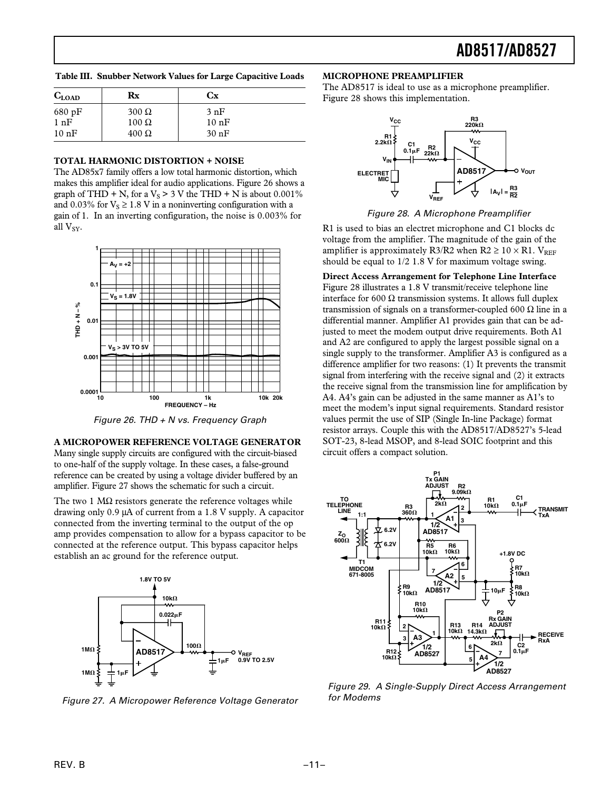**Table III. Snubber Network Values for Large Capacitive Loads**

| $C_{LOAD}$       | Rx           | Сx      |
|------------------|--------------|---------|
| $680 \text{ pF}$ | $300 \Omega$ | 3 nF    |
| 1 nF             | $100 \Omega$ | 10 nF   |
| 10 nF            | $400 \Omega$ | $30$ nF |

#### **TOTAL HARMONIC DISTORTION + NOISE**

The AD85x7 family offers a low total harmonic distortion, which makes this amplifier ideal for audio applications. Figure 26 shows a graph of THD + N, for a  $V_s > 3$  V the THD + N is about 0.001% and 0.03% for  $V_s \ge 1.8$  V in a noninverting configuration with a gain of 1. In an inverting configuration, the noise is 0.003% for all  $V_{SV}$ .



Figure 26. THD + N vs. Frequency Graph

#### **A MICROPOWER REFERENCE VOLTAGE GENERATOR**

Many single supply circuits are configured with the circuit-biased to one-half of the supply voltage. In these cases, a false-ground reference can be created by using a voltage divider buffered by an amplifier. Figure 27 shows the schematic for such a circuit.

The two 1  $\text{M}\Omega$  resistors generate the reference voltages while drawing only 0.9 µA of current from a 1.8 V supply. A capacitor connected from the inverting terminal to the output of the op amp provides compensation to allow for a bypass capacitor to be connected at the reference output. This bypass capacitor helps establish an ac ground for the reference output.



Figure 27. A Micropower Reference Voltage Generator

#### **MICROPHONE PREAMPLIFIER**

The AD8517 is ideal to use as a microphone preamplifier. Figure 28 shows this implementation.



Figure 28. A Microphone Preamplifier

R1 is used to bias an electret microphone and C1 blocks dc voltage from the amplifier. The magnitude of the gain of the amplifier is approximately R3/R2 when R2  $\geq$  10  $\times$  R1. V<sub>REF</sub> should be equal to 1/2 1.8 V for maximum voltage swing.

**Direct Access Arrangement for Telephone Line Interface** Figure 28 illustrates a 1.8 V transmit/receive telephone line interface for 600 Ω transmission systems. It allows full duplex transmission of signals on a transformer-coupled 600 Ω line in a differential manner. Amplifier A1 provides gain that can be adjusted to meet the modem output drive requirements. Both A1 and A2 are configured to apply the largest possible signal on a single supply to the transformer. Amplifier A3 is configured as a difference amplifier for two reasons: (1) It prevents the transmit signal from interfering with the receive signal and (2) it extracts the receive signal from the transmission line for amplification by A4. A4's gain can be adjusted in the same manner as A1's to meet the modem's input signal requirements. Standard resistor values permit the use of SIP (Single In-line Package) format resistor arrays. Couple this with the AD8517/AD8527's 5-lead SOT-23, 8-lead MSOP, and 8-lead SOIC footprint and this circuit offers a compact solution.



 Figure 29. A Single-Supply Direct Access Arrangement for Modems